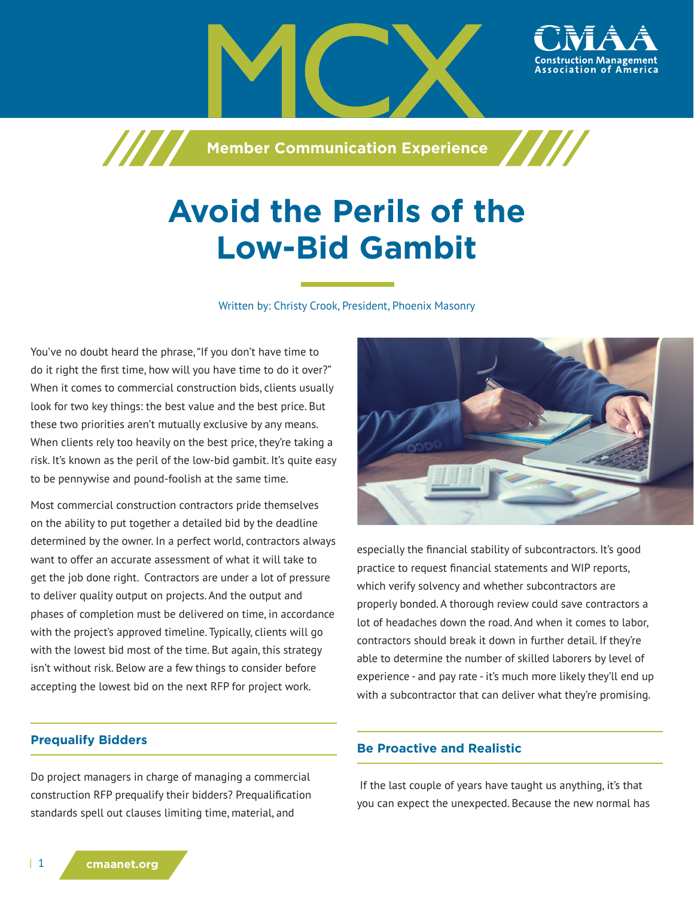**Member Communication Experience**

# **Avoid the Perils of the Low-Bid Gambit**

Written by: Christy Crook, President, Phoenix Masonry

You've no doubt heard the phrase, "If you don't have time to do it right the first time, how will you have time to do it over?" When it comes to commercial construction bids, clients usually look for two key things: the best value and the best price. But these two priorities aren't mutually exclusive by any means. When clients rely too heavily on the best price, they're taking a risk. It's known as the peril of the low-bid gambit. It's quite easy to be pennywise and pound-foolish at the same time.

7777

Most commercial construction contractors pride themselves on the ability to put together a detailed bid by the deadline determined by the owner. In a perfect world, contractors always want to offer an accurate assessment of what it will take to get the job done right. Contractors are under a lot of pressure to deliver quality output on projects. And the output and phases of completion must be delivered on time, in accordance with the project's approved timeline. Typically, clients will go with the lowest bid most of the time. But again, this strategy isn't without risk. Below are a few things to consider before accepting the lowest bid on the next RFP for project work.

## **Prequalify Bidders**

Do project managers in charge of managing a commercial construction RFP prequalify their bidders? Prequalification standards spell out clauses limiting time, material, and



especially the financial stability of subcontractors. It's good practice to request financial statements and WIP reports, which verify solvency and whether subcontractors are properly bonded. A thorough review could save contractors a lot of headaches down the road. And when it comes to labor, contractors should break it down in further detail. If they're able to determine the number of skilled laborers by level of experience - and pay rate - it's much more likely they'll end up with a subcontractor that can deliver what they're promising.

## **Be Proactive and Realistic**

 If the last couple of years have taught us anything, it's that you can expect the unexpected. Because the new normal has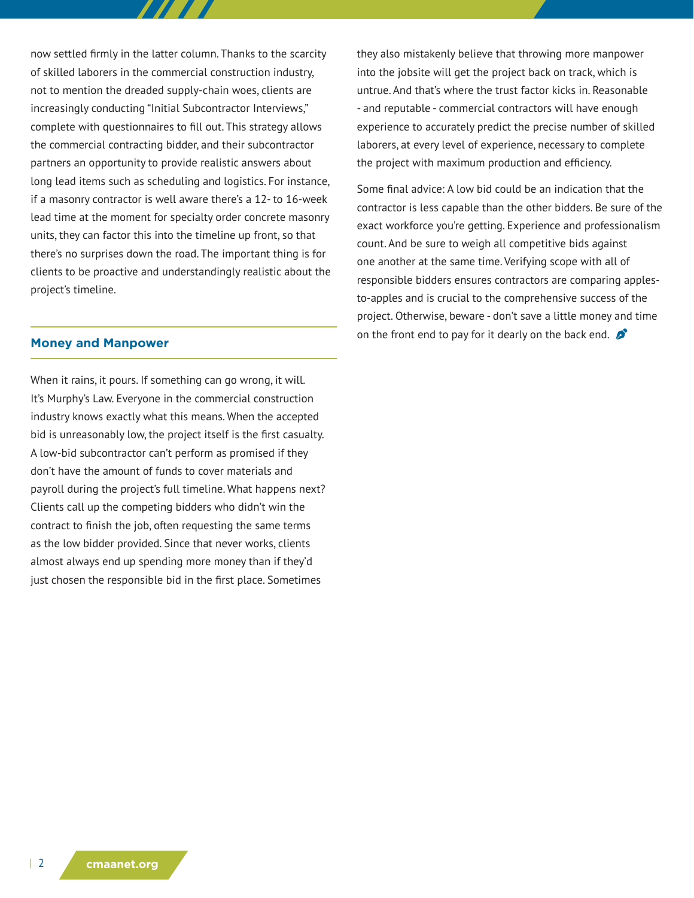now settled firmly in the latter column. Thanks to the scarcity of skilled laborers in the commercial construction industry, not to mention the dreaded supply-chain woes, clients are increasingly conducting "Initial Subcontractor Interviews," complete with questionnaires to fill out. This strategy allows the commercial contracting bidder, and their subcontractor partners an opportunity to provide realistic answers about long lead items such as scheduling and logistics. For instance, if a masonry contractor is well aware there's a 12- to 16-week lead time at the moment for specialty order concrete masonry units, they can factor this into the timeline up front, so that there's no surprises down the road. The important thing is for clients to be proactive and understandingly realistic about the project's timeline.

#### **Money and Manpower**

When it rains, it pours. If something can go wrong, it will. It's Murphy's Law. Everyone in the commercial construction industry knows exactly what this means. When the accepted bid is unreasonably low, the project itself is the first casualty. A low-bid subcontractor can't perform as promised if they don't have the amount of funds to cover materials and payroll during the project's full timeline. What happens next? Clients call up the competing bidders who didn't win the contract to finish the job, often requesting the same terms as the low bidder provided. Since that never works, clients almost always end up spending more money than if they'd just chosen the responsible bid in the first place. Sometimes

they also mistakenly believe that throwing more manpower into the jobsite will get the project back on track, which is untrue. And that's where the trust factor kicks in. Reasonable - and reputable - commercial contractors will have enough experience to accurately predict the precise number of skilled laborers, at every level of experience, necessary to complete the project with maximum production and efficiency.

Some final advice: A low bid could be an indication that the contractor is less capable than the other bidders. Be sure of the exact workforce you're getting. Experience and professionalism count. And be sure to weigh all competitive bids against one another at the same time. Verifying scope with all of responsible bidders ensures contractors are comparing applesto-apples and is crucial to the comprehensive success of the project. Otherwise, beware - don't save a little money and time on the front end to pay for it dearly on the back end.  $\mathcal{D}$